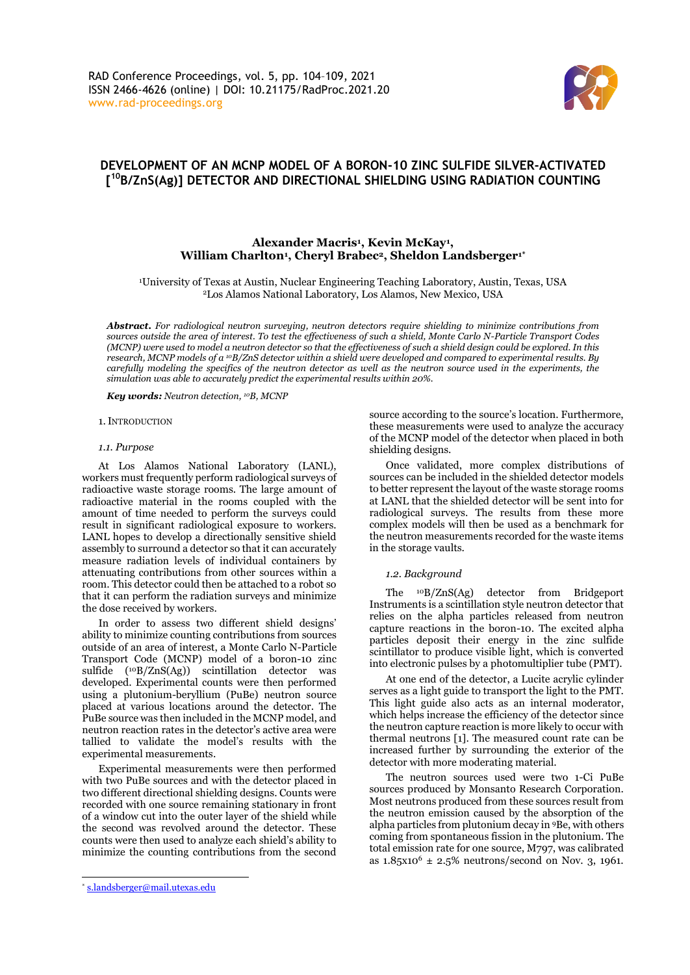

# **DEVELOPMENT OF AN MCNP MODEL OF A BORON-10 ZINC SULFIDE SILVER-ACTIVATED [ <sup>10</sup>B/ZnS(Ag)] DETECTOR AND DIRECTIONAL SHIELDING USING RADIATION COUNTING**

# **Alexander Macris<sup>1</sup> , Kevin McKay<sup>1</sup> , William Charlton<sup>1</sup> , Cheryl Brabec2, Sheldon Landsberger1\***

<sup>1</sup>University of Texas at Austin, Nuclear Engineering Teaching Laboratory, Austin, Texas, USA <sup>2</sup>Los Alamos National Laboratory, Los Alamos, New Mexico, USA

*Abstract***.** *For radiological neutron surveying, neutron detectors require shielding to minimize contributions from sources outside the area of interest. To test the effectiveness of such a shield, Monte Carlo N-Particle Transport Codes (MCNP) were used to model a neutron detector so that the effectiveness of such a shield design could be explored. In this research, MCNP models of a 10B/ZnS detector within a shield were developed and compared to experimental results. By carefully modeling the specifics of the neutron detector as well as the neutron source used in the experiments, the simulation was able to accurately predict the experimental results within 20%.*

*Key words: Neutron detection, 10B, MCNP*

1.INTRODUCTION

#### *1.1. Purpose*

At Los Alamos National Laboratory (LANL), workers must frequently perform radiological surveys of radioactive waste storage rooms. The large amount of radioactive material in the rooms coupled with the amount of time needed to perform the surveys could result in significant radiological exposure to workers. LANL hopes to develop a directionally sensitive shield assembly to surround a detector so that it can accurately measure radiation levels of individual containers by attenuating contributions from other sources within a room. This detector could then be attached to a robot so that it can perform the radiation surveys and minimize the dose received by workers.

In order to assess two different shield designs' ability to minimize counting contributions from sources outside of an area of interest, a Monte Carlo N-Particle Transport Code (MCNP) model of a boron-10 zinc sulfide (<sup>10</sup>B/ZnS(Ag)) scintillation detector was developed. Experimental counts were then performed using a plutonium-beryllium (PuBe) neutron source placed at various locations around the detector. The PuBe source was then included in the MCNP model, and neutron reaction rates in the detector's active area were tallied to validate the model's results with the experimental measurements.

Experimental measurements were then performed with two PuBe sources and with the detector placed in two different directional shielding designs. Counts were recorded with one source remaining stationary in front of a window cut into the outer layer of the shield while the second was revolved around the detector. These counts were then used to analyze each shield's ability to minimize the counting contributions from the second

Once validated, more complex distributions of sources can be included in the shielded detector models to better represent the layout of the waste storage rooms at LANL that the shielded detector will be sent into for radiological surveys. The results from these more complex models will then be used as a benchmark for the neutron measurements recorded for the waste items in the storage vaults.

#### *1.2. Background*

The <sup>10</sup>B/ZnS(Ag) detector from Bridgeport Instruments is a scintillation style neutron detector that relies on the alpha particles released from neutron capture reactions in the boron-10. The excited alpha particles deposit their energy in the zinc sulfide scintillator to produce visible light, which is converted into electronic pulses by a photomultiplier tube (PMT).

At one end of the detector, a Lucite acrylic cylinder serves as a light guide to transport the light to the PMT. This light guide also acts as an internal moderator, which helps increase the efficiency of the detector since the neutron capture reaction is more likely to occur with thermal neutrons [1]. The measured count rate can be increased further by surrounding the exterior of the detector with more moderating material.

The neutron sources used were two 1-Ci PuBe sources produced by Monsanto Research Corporation. Most neutrons produced from these sources result from the neutron emission caused by the absorption of the alpha particles from plutonium decay in <sup>9</sup>Be, with others coming from spontaneous fission in the plutonium. The total emission rate for one source, M797, was calibrated as  $1.85x10^{6} \pm 2.5\%$  neutrons/second on Nov. 3, 1961.

source according to the source's location. Furthermore, these measurements were used to analyze the accuracy of the MCNP model of the detector when placed in both shielding designs.

<sup>\*</sup> [s.landsberger@mail.utexas.edu](mailto:s.landsberger@mail.utexas.edu)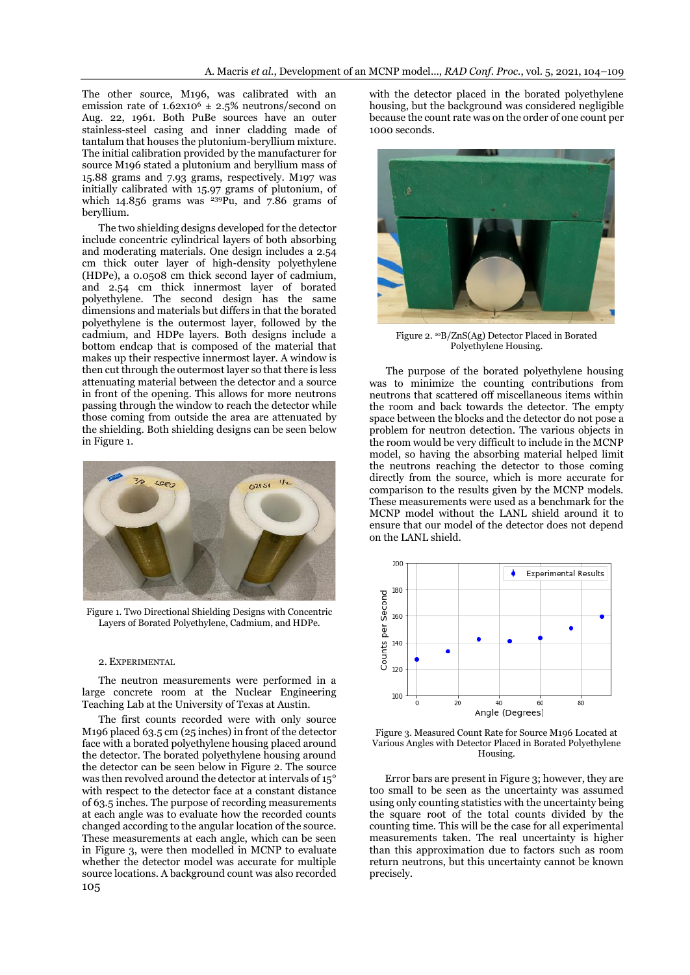The other source, M196, was calibrated with an emission rate of  $1.62x10^6 \pm 2.5\%$  neutrons/second on Aug. 22, 1961. Both PuBe sources have an outer stainless-steel casing and inner cladding made of tantalum that houses the plutonium-beryllium mixture. The initial calibration provided by the manufacturer for source M196 stated a plutonium and beryllium mass of 15.88 grams and 7.93 grams, respectively. M197 was initially calibrated with 15.97 grams of plutonium, of which  $14.856$  grams was  $239$ Pu, and  $7.86$  grams of beryllium.

The two shielding designs developed for the detector include concentric cylindrical layers of both absorbing and moderating materials. One design includes a 2.54 cm thick outer layer of high-density polyethylene (HDPe), a 0.0508 cm thick second layer of cadmium, and 2.54 cm thick innermost layer of borated polyethylene. The second design has the same dimensions and materials but differs in that the borated polyethylene is the outermost layer, followed by the cadmium, and HDPe layers. Both designs include a bottom endcap that is composed of the material that makes up their respective innermost layer. A window is then cut through the outermost layer so that there is less attenuating material between the detector and a source in front of the opening. This allows for more neutrons passing through the window to reach the detector while those coming from outside the area are attenuated by the shielding. Both shielding designs can be seen below in Figure 1.



Figure 1. Two Directional Shielding Designs with Concentric Layers of Borated Polyethylene, Cadmium, and HDPe.

#### 2. EXPERIMENTAL

The neutron measurements were performed in a large concrete room at the Nuclear Engineering Teaching Lab at the University of Texas at Austin.

105 The first counts recorded were with only source M196 placed 63.5 cm (25 inches) in front of the detector face with a borated polyethylene housing placed around the detector. The borated polyethylene housing around the detector can be seen below in Figure 2. The source was then revolved around the detector at intervals of 15° with respect to the detector face at a constant distance of 63.5 inches. The purpose of recording measurements at each angle was to evaluate how the recorded counts changed according to the angular location of the source. These measurements at each angle, which can be seen in Figure 3, were then modelled in MCNP to evaluate whether the detector model was accurate for multiple source locations. A background count was also recorded

with the detector placed in the borated polyethylene housing, but the background was considered negligible because the count rate was on the order of one count per 1000 seconds.



Figure 2. <sup>10</sup>B/ZnS(Ag) Detector Placed in Borated Polyethylene Housing.

The purpose of the borated polyethylene housing was to minimize the counting contributions from neutrons that scattered off miscellaneous items within the room and back towards the detector. The empty space between the blocks and the detector do not pose a problem for neutron detection. The various objects in the room would be very difficult to include in the MCNP model, so having the absorbing material helped limit the neutrons reaching the detector to those coming directly from the source, which is more accurate for comparison to the results given by the MCNP models. These measurements were used as a benchmark for the MCNP model without the LANL shield around it to ensure that our model of the detector does not depend on the LANL shield.



Figure 3. Measured Count Rate for Source M196 Located at Various Angles with Detector Placed in Borated Polyethylene Housing.

Error bars are present in Figure 3; however, they are too small to be seen as the uncertainty was assumed using only counting statistics with the uncertainty being the square root of the total counts divided by the counting time. This will be the case for all experimental measurements taken. The real uncertainty is higher than this approximation due to factors such as room return neutrons, but this uncertainty cannot be known precisely.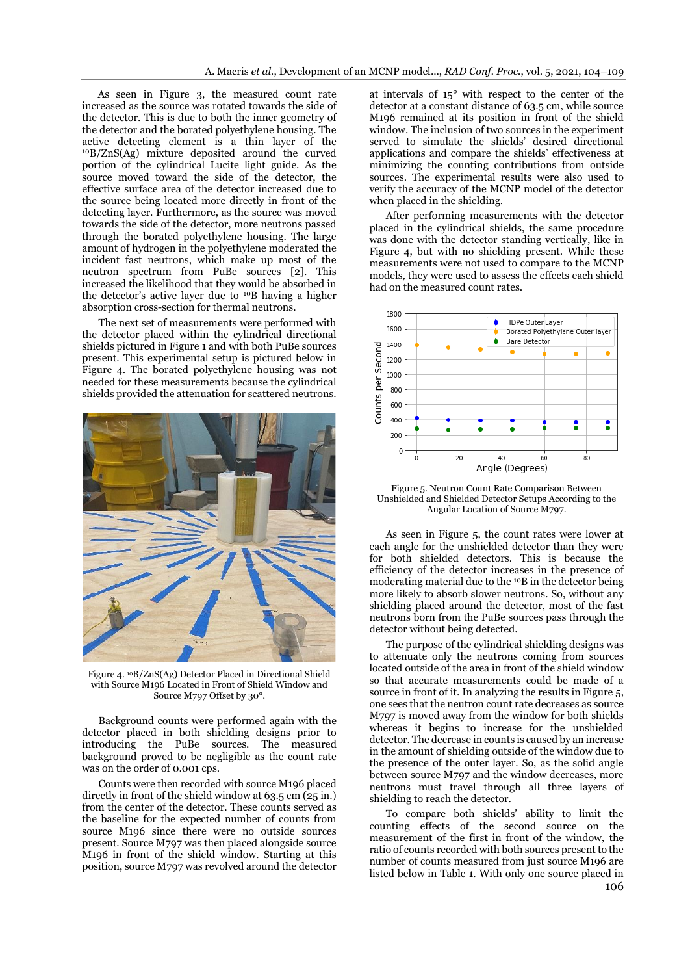As seen in Figure 3, the measured count rate increased as the source was rotated towards the side of the detector. This is due to both the inner geometry of the detector and the borated polyethylene housing. The active detecting element is a thin layer of the <sup>10</sup>B/ZnS(Ag) mixture deposited around the curved portion of the cylindrical Lucite light guide. As the source moved toward the side of the detector, the effective surface area of the detector increased due to the source being located more directly in front of the detecting layer. Furthermore, as the source was moved towards the side of the detector, more neutrons passed through the borated polyethylene housing. The large amount of hydrogen in the polyethylene moderated the incident fast neutrons, which make up most of the neutron spectrum from PuBe sources [2]. This increased the likelihood that they would be absorbed in the detector's active layer due to <sup>10</sup>B having a higher absorption cross-section for thermal neutrons.

The next set of measurements were performed with the detector placed within the cylindrical directional shields pictured in Figure 1 and with both PuBe sources present. This experimental setup is pictured below in Figure 4. The borated polyethylene housing was not needed for these measurements because the cylindrical shields provided the attenuation for scattered neutrons.



Figure 4. 10B/ZnS(Ag) Detector Placed in Directional Shield with Source M196 Located in Front of Shield Window and Source M797 Offset by 30°.

Background counts were performed again with the detector placed in both shielding designs prior to introducing the PuBe sources. The measured background proved to be negligible as the count rate was on the order of 0.001 cps.

Counts were then recorded with source M196 placed directly in front of the shield window at 63.5 cm (25 in.) from the center of the detector. These counts served as the baseline for the expected number of counts from source M196 since there were no outside sources present. Source M797 was then placed alongside source M196 in front of the shield window. Starting at this position, source M797 was revolved around the detector

at intervals of 15° with respect to the center of the detector at a constant distance of 63.5 cm, while source M196 remained at its position in front of the shield window. The inclusion of two sources in the experiment served to simulate the shields' desired directional applications and compare the shields' effectiveness at minimizing the counting contributions from outside sources. The experimental results were also used to verify the accuracy of the MCNP model of the detector when placed in the shielding.

After performing measurements with the detector placed in the cylindrical shields, the same procedure was done with the detector standing vertically, like in Figure 4, but with no shielding present. While these measurements were not used to compare to the MCNP models, they were used to assess the effects each shield had on the measured count rates.



Figure 5. Neutron Count Rate Comparison Between Unshielded and Shielded Detector Setups According to the Angular Location of Source M797.

As seen in Figure 5, the count rates were lower at each angle for the unshielded detector than they were for both shielded detectors. This is because the efficiency of the detector increases in the presence of moderating material due to the <sup>10</sup>B in the detector being more likely to absorb slower neutrons. So, without any shielding placed around the detector, most of the fast neutrons born from the PuBe sources pass through the detector without being detected.

The purpose of the cylindrical shielding designs was to attenuate only the neutrons coming from sources located outside of the area in front of the shield window so that accurate measurements could be made of a source in front of it. In analyzing the results in Figure 5, one sees that the neutron count rate decreases as source M797 is moved away from the window for both shields whereas it begins to increase for the unshielded detector. The decrease in counts is caused by an increase in the amount of shielding outside of the window due to the presence of the outer layer. So, as the solid angle between source M797 and the window decreases, more neutrons must travel through all three layers of shielding to reach the detector.

To compare both shields' ability to limit the counting effects of the second source on the measurement of the first in front of the window, the ratio of counts recorded with both sources present to the number of counts measured from just source M196 are listed below in Table 1. With only one source placed in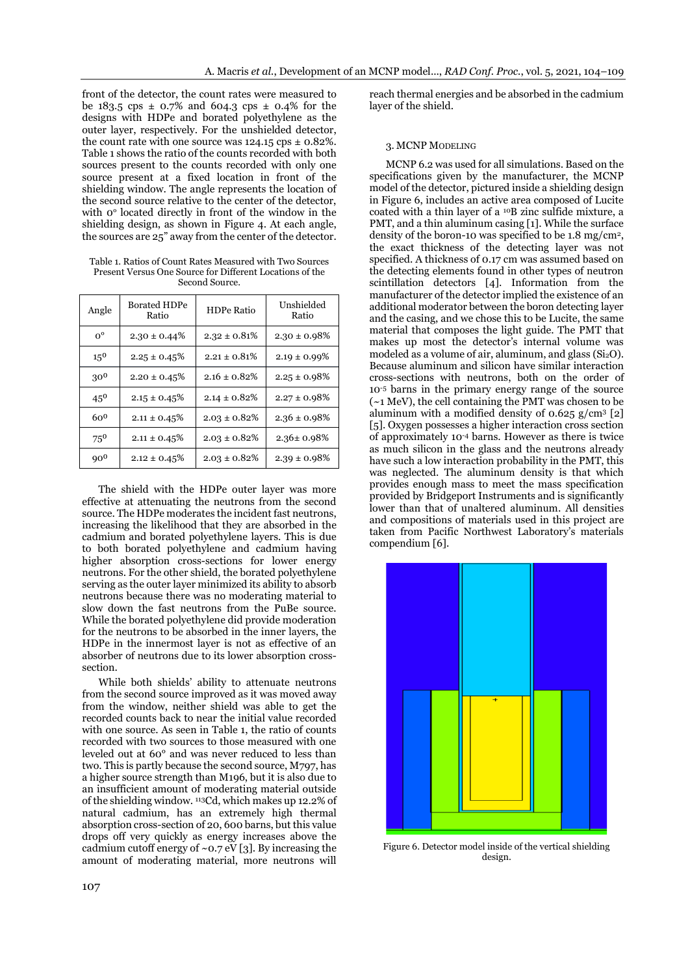front of the detector, the count rates were measured to be 183.5 cps  $\pm$  0.7% and 604.3 cps  $\pm$  0.4% for the designs with HDPe and borated polyethylene as the outer layer, respectively. For the unshielded detector, the count rate with one source was  $124.15 \text{cps} \pm 0.82\%$ . Table 1 shows the ratio of the counts recorded with both sources present to the counts recorded with only one source present at a fixed location in front of the shielding window. The angle represents the location of the second source relative to the center of the detector, with 0° located directly in front of the window in the shielding design, as shown in Figure 4. At each angle, the sources are 25" away from the center of the detector.

Table 1. Ratios of Count Rates Measured with Two Sources Present Versus One Source for Different Locations of the Second Source.

| Angle           | <b>Borated HDPe</b><br>Ratio | <b>HDPe Ratio</b> | Unshielded<br>Ratio |
|-----------------|------------------------------|-------------------|---------------------|
| $0^{\circ}$     | $2.30 \pm 0.44\%$            | $2.32 \pm 0.81\%$ | $2.30 \pm 0.98\%$   |
| $15^{0}$        | $2.25 \pm 0.45\%$            | $2.21 \pm 0.81\%$ | $2.19 \pm 0.99\%$   |
| 300             | $2.20 \pm 0.45\%$            | $2.16 \pm 0.82\%$ | $2.25 \pm 0.98\%$   |
| $45^{0}$        | $2.15 \pm 0.45\%$            | $2.14 \pm 0.82\%$ | $2.27 \pm 0.98\%$   |
| $60^{0}$        | $2.11 \pm 0.45\%$            | $2.03 \pm 0.82\%$ | $2.36 \pm 0.98\%$   |
| $75^{0}$        | $2.11 \pm 0.45\%$            | $2.03 \pm 0.82\%$ | $2.36 \pm 0.98\%$   |
| 90 <sup>0</sup> | $2.12 \pm 0.45\%$            | $2.03 \pm 0.82\%$ | $2.39 \pm 0.98\%$   |

The shield with the HDPe outer layer was more effective at attenuating the neutrons from the second source. The HDPe moderates the incident fast neutrons, increasing the likelihood that they are absorbed in the cadmium and borated polyethylene layers. This is due to both borated polyethylene and cadmium having higher absorption cross-sections for lower energy neutrons. For the other shield, the borated polyethylene serving as the outer layer minimized its ability to absorb neutrons because there was no moderating material to slow down the fast neutrons from the PuBe source. While the borated polyethylene did provide moderation for the neutrons to be absorbed in the inner layers, the HDPe in the innermost layer is not as effective of an absorber of neutrons due to its lower absorption crosssection.

While both shields' ability to attenuate neutrons from the second source improved as it was moved away from the window, neither shield was able to get the recorded counts back to near the initial value recorded with one source. As seen in Table 1, the ratio of counts recorded with two sources to those measured with one leveled out at 60° and was never reduced to less than two. This is partly because the second source, M797, has a higher source strength than M196, but it is also due to an insufficient amount of moderating material outside of the shielding window. <sup>113</sup>Cd, which makes up 12.2% of natural cadmium, has an extremely high thermal absorption cross-section of 20, 600 barns, but this value drops off very quickly as energy increases above the cadmium cutoff energy of  $\sim$  0.7 eV [3]. By increasing the amount of moderating material, more neutrons will

reach thermal energies and be absorbed in the cadmium layer of the shield.

## 3. MCNP MODELING

MCNP 6.2 was used for all simulations. Based on the specifications given by the manufacturer, the MCNP model of the detector, pictured inside a shielding design in Figure 6, includes an active area composed of Lucite coated with a thin layer of a <sup>10</sup>B zinc sulfide mixture, a PMT, and a thin aluminum casing [1]. While the surface density of the boron-10 was specified to be 1.8 mg/cm<sup>2</sup> , the exact thickness of the detecting layer was not specified. A thickness of 0.17 cm was assumed based on the detecting elements found in other types of neutron scintillation detectors [4]. Information from the manufacturer of the detector implied the existence of an additional moderator between the boron detecting layer and the casing, and we chose this to be Lucite, the same material that composes the light guide. The PMT that makes up most the detector's internal volume was modeled as a volume of air, aluminum, and glass  $(Si<sub>2</sub>O)$ . Because aluminum and silicon have similar interaction cross-sections with neutrons, both on the order of 10-5 barns in the primary energy range of the source (~1 MeV), the cell containing the PMT was chosen to be aluminum with a modified density of 0.625  $g/cm^3$  [2] [5]. Oxygen possesses a higher interaction cross section of approximately 10-4 barns. However as there is twice as much silicon in the glass and the neutrons already have such a low interaction probability in the PMT, this was neglected. The aluminum density is that which provides enough mass to meet the mass specification provided by Bridgeport Instruments and is significantly lower than that of unaltered aluminum. All densities and compositions of materials used in this project are taken from Pacific Northwest Laboratory's materials compendium [6].



Figure 6. Detector model inside of the vertical shielding design.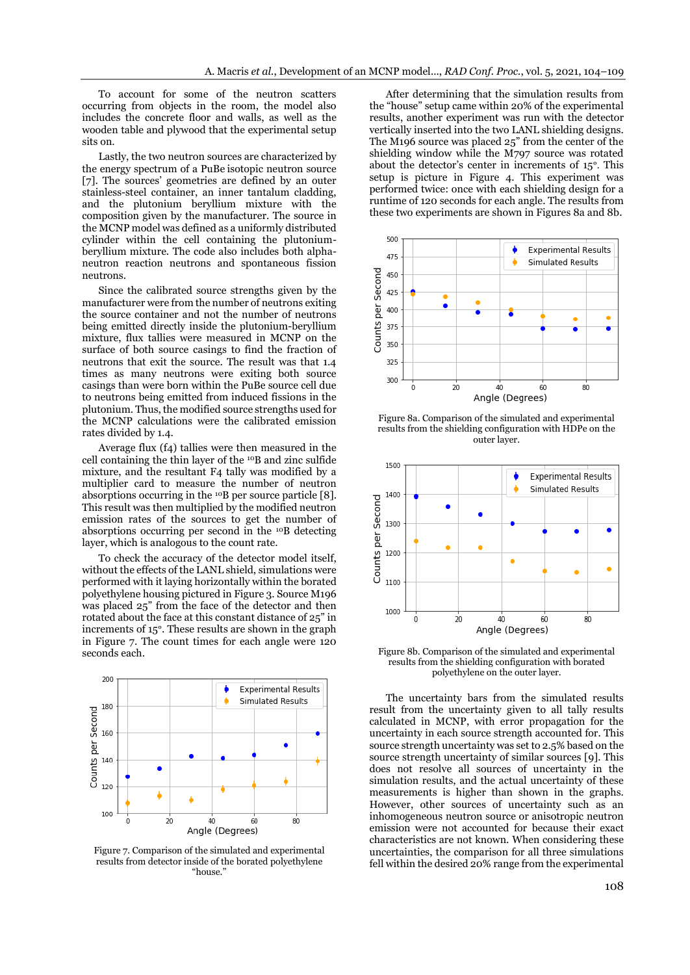To account for some of the neutron scatters occurring from objects in the room, the model also includes the concrete floor and walls, as well as the wooden table and plywood that the experimental setup sits on.

Lastly, the two neutron sources are characterized by the energy spectrum of a PuBe isotopic neutron source [7]. The sources' geometries are defined by an outer stainless-steel container, an inner tantalum cladding, and the plutonium beryllium mixture with the composition given by the manufacturer. The source in the MCNP model was defined as a uniformly distributed cylinder within the cell containing the plutoniumberyllium mixture. The code also includes both alphaneutron reaction neutrons and spontaneous fission neutrons.

Since the calibrated source strengths given by the manufacturer were from the number of neutrons exiting the source container and not the number of neutrons being emitted directly inside the plutonium-beryllium mixture, flux tallies were measured in MCNP on the surface of both source casings to find the fraction of neutrons that exit the source. The result was that 1.4 times as many neutrons were exiting both source casings than were born within the PuBe source cell due to neutrons being emitted from induced fissions in the plutonium. Thus, the modified source strengths used for the MCNP calculations were the calibrated emission rates divided by 1.4.

Average flux (f4) tallies were then measured in the cell containing the thin layer of the <sup>10</sup>B and zinc sulfide mixture, and the resultant F4 tally was modified by a multiplier card to measure the number of neutron absorptions occurring in the <sup>10</sup>B per source particle [8]. This result was then multiplied by the modified neutron emission rates of the sources to get the number of absorptions occurring per second in the <sup>10</sup>B detecting layer, which is analogous to the count rate.

To check the accuracy of the detector model itself, without the effects of the LANL shield, simulations were performed with it laying horizontally within the borated polyethylene housing pictured in Figure 3. Source M196 was placed 25" from the face of the detector and then rotated about the face at this constant distance of 25" in increments of 15°. These results are shown in the graph in Figure 7. The count times for each angle were 120 seconds each.



Figure 7. Comparison of the simulated and experimental results from detector inside of the borated polyethylene "house."

After determining that the simulation results from the "house" setup came within 20% of the experimental results, another experiment was run with the detector vertically inserted into the two LANL shielding designs. The M196 source was placed 25" from the center of the shielding window while the M797 source was rotated about the detector's center in increments of 15°. This setup is picture in Figure 4. This experiment was performed twice: once with each shielding design for a runtime of 120 seconds for each angle. The results from these two experiments are shown in Figures 8a and 8b.



Figure 8a. Comparison of the simulated and experimental results from the shielding configuration with HDPe on the outer layer.



Figure 8b. Comparison of the simulated and experimental results from the shielding configuration with borated polyethylene on the outer layer.

The uncertainty bars from the simulated results result from the uncertainty given to all tally results calculated in MCNP, with error propagation for the uncertainty in each source strength accounted for. This source strength uncertainty was set to 2.5% based on the source strength uncertainty of similar sources [9]. This does not resolve all sources of uncertainty in the simulation results, and the actual uncertainty of these measurements is higher than shown in the graphs. However, other sources of uncertainty such as an inhomogeneous neutron source or anisotropic neutron emission were not accounted for because their exact characteristics are not known. When considering these uncertainties, the comparison for all three simulations fell within the desired 20% range from the experimental